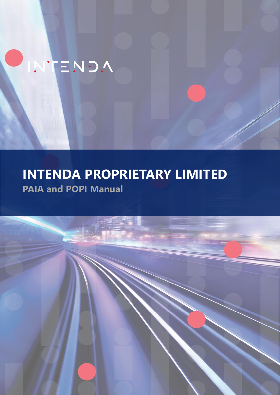# **INTENDA PROPRIETARY LIMITED PAIA and POPI Manual**

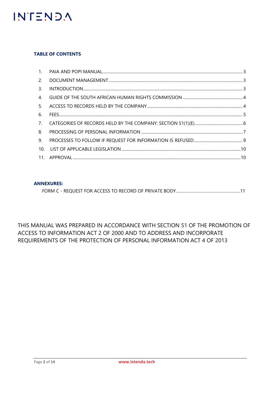

### **TABLE OF CONTENTS**

| 3.             |  |
|----------------|--|
| 4 <sub>1</sub> |  |
| 5.             |  |
| 6.             |  |
|                |  |
| 8.             |  |
| 9.             |  |
|                |  |
|                |  |

### **ANNEXURES:**

|--|

THIS MANUAL WAS PREPARED IN ACCORDANCE WITH SECTION 51 OF THE PROMOTION OF ACCESS TO INFORMATION ACT 2 OF 2000 AND TO ADDRESS AND INCORPORATE REQUIREMENTS OF THE PROTECTION OF PERSONAL INFORMATION ACT 4 OF 2013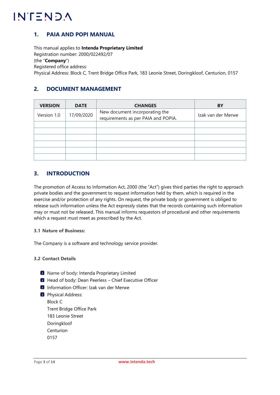# <span id="page-2-0"></span>**1. PAIA AND POPI MANUAL**

This manual applies to **Intenda Proprietary Limited** Registration number: 2000/022492/07 (the "**Company**") Registered office address: Physical Address: Block C, Trent Bridge Office Park, 183 Leonie Street, Doringkloof, Centurion, 0157

# <span id="page-2-1"></span>**2. DOCUMENT MANAGEMENT**

| <b>VERSION</b> | <b>DATE</b> | <b>CHANGES</b>                                                        | <b>BY</b>          |
|----------------|-------------|-----------------------------------------------------------------------|--------------------|
| Version 1.0    | 17/09/2020  | New document incorporating the<br>requirements as per PAIA and POPIA. | Izak van der Merwe |
|                |             |                                                                       |                    |
|                |             |                                                                       |                    |
|                |             |                                                                       |                    |
|                |             |                                                                       |                    |
|                |             |                                                                       |                    |
|                |             |                                                                       |                    |

# <span id="page-2-2"></span>**3. INTRODUCTION**

The promotion of Access to Information Act, 2000 (the "Act") gives third parties the right to approach private bodies and the government to request information held by them, which is required in the exercise and/or protection of any rights. On request, the private body or government is obliged to release such information unless the Act expressly states that the records containing such information may or must not be released. This manual informs requestors of procedural and other requirements which a request must meet as prescribed by the Act.

### **3.1 Nature of Business:**

The Company is a software and technology service provider.

### **3.2 Contact Details**

- **D** Name of body: Intenda Proprietary Limited
- **D** Head of body: Dean Peerless Chief Executive Officer
- **D** Information Officer: Izak van der Merwe
- **D** Physical Address: Block C Trent Bridge Office Park 183 Leonie Street Doringkloof Centurion 0157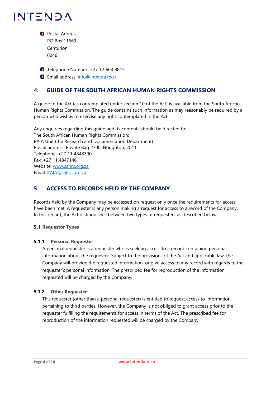**D** Postal Address: PO Box 11669 Centurion 0046

**T** Telephone Number: +27 12 663 8815

**D** Email address: [info@intenda.tech](mailto:info@intenda.tech)

# <span id="page-3-0"></span>**4. GUIDE OF THE SOUTH AFRICAN HUMAN RIGHTS COMMISSION**

A guide to the Act (as contemplated under section 10 of the Act) is available from the South African Human Rights Commission. The guide contains such information as may reasonably be required by a person who wishes to exercise any right contemplated in the Act.

Any enquiries regarding this guide and its contents should be directed to: The South African Human Rights Commission: PAIA Unit (the Research and Documentation Department) Postal address: Private Bag 2700, Houghton, 2041 Telephone: +27 11 4848300 Fax: +27 11 4847146 Website: [www.sahrc.org.za](http://www.sahrc.org.za/) Email: [PAIA@sahrc.org.za](mailto:PAIA@sahrc.org.za)

# <span id="page-3-1"></span>**5. ACCESS TO RECORDS HELD BY THE COMPANY**

Records held by the Company may be accessed on request only once the requirements for access have been met. A requester is any person making a request for access to a record of the Company. In this regard, the Act distinguishes between two types of requesters as described below.

### **5.1 Requestor Types**

### **5.1.1 Personal Requester**

A personal requester is a requester who is seeking access to a record containing personal information about the requester. Subject to the provisions of the Act and applicable law, the Company will provide the requested information, or give access to any record with regards to the requester's personal information. The prescribed fee for reproduction of the information requested will be charged by the Company.

### **5.1.2 Other Requester**

This requester (other than a personal requester) is entitled to request access to information pertaining to third parties. However, the Company is not obliged to grant access prior to the requester fulfilling the requirements for access in terms of the Act. The prescribed fee for reproduction of the information requested will be charged by the Company.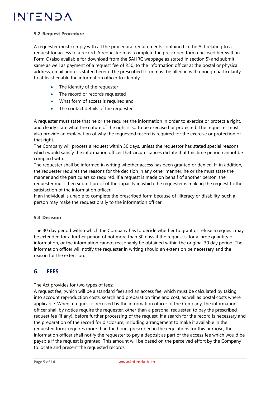#### **5.2 Request Procedure**

A requester must comply with all the procedural requirements contained in the Act relating to a request for access to a record. A requester must complete the prescribed form enclosed herewith in Form C (also available for download from the SAHRC webpage as stated in section 5) and submit same as well as payment of a request fee of R50, to the information officer at the postal or physical address, email address stated herein. The prescribed form must be filled in with enough particularity to at least enable the information officer to identify:

- The identity of the requester
- The record or records requested
- What form of access is required and
- The contact details of the requester.

A requester must state that he or she requires the information in order to exercise or protect a right, and clearly state what the nature of the right is so to be exercised or protected. The requester must also provide an explanation of why the requested record is required for the exercise or protection of that right.

The Company will process a request within 30 days, unless the requestor has stated special reasons which would satisfy the information officer that circumstances dictate that this time period cannot be complied with.

The requester shall be informed in writing whether access has been granted or denied. If, in addition, the requester requires the reasons for the decision in any other manner, he or she must state the manner and the particulars so required. If a request is made on behalf of another person, the requester must then submit proof of the capacity in which the requester is making the request to the satisfaction of the information officer.

If an individual is unable to complete the prescribed form because of illiteracy or disability, such a person may make the request orally to the information officer.

### **5.3 Decision**

The 30 day period within which the Company has to decide whether to grant or refuse a request, may be extended for a further period of not more than 30 days if the request is for a large quantity of information, or the information cannot reasonably be obtained within the original 30 day period. The information officer will notify the requester in writing should an extension be necessary and the reason for the extension.

# <span id="page-4-0"></span>**6. FEES**

The Act provides for two types of fees:

A request fee, (which will be a standard fee) and an access fee, which must be calculated by taking into account reproduction costs, search and preparation time and cost, as well as postal costs where applicable. When a request is received by the information officer of the Company, the information officer shall by notice require the requester, other than a personal requester, to pay the prescribed request fee (if any), before further processing of the request. If a search for the record is necessary and the preparation of the record for disclosure, including arrangement to make it available in the requested form, requires more than the hours prescribed in the regulations for this purpose, the information officer shall notify the requester to pay a deposit as part of the access fee which would be payable if the request is granted. This amount will be based on the perceived effort by the Company to locate and present the requested records.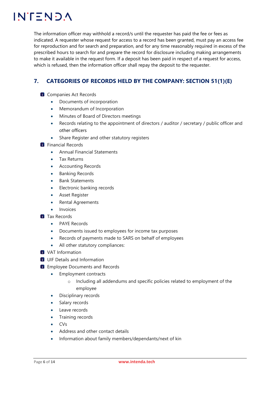The information officer may withhold a record/s until the requester has paid the fee or fees as indicated. A requester whose request for access to a record has been granted, must pay an access fee for reproduction and for search and preparation, and for any time reasonably required in excess of the prescribed hours to search for and prepare the record for disclosure including making arrangements to make it available in the request form. If a deposit has been paid in respect of a request for access, which is refused, then the information officer shall repay the deposit to the requester.

# <span id="page-5-0"></span>**7. CATEGORIES OF RECORDS HELD BY THE COMPANY: SECTION 51(1)(E)**

- **Companies Act Records** 
	- Documents of incorporation
	- Memorandum of Incorporation
	- Minutes of Board of Directors meetings
	- Records relating to the appointment of directors / auditor / secretary / public officer and other officers
	- Share Register and other statutory registers
- **Financial Records** 
	- Annual Financial Statements
	- Tax Returns
	- Accounting Records
	- Banking Records
	- Bank Statements
	- Electronic banking records
	- Asset Register
	- Rental Agreements
	- **Invoices**
- **Tax Records** 
	- PAYE Records
	- Documents issued to employees for income tax purposes
	- Records of payments made to SARS on behalf of employees
	- All other statutory compliances:
- **U** VAT Information
- **UIF Details and Information**
- **D** Employee Documents and Records
	- Employment contracts
		- o Including all addendums and specific policies related to employment of the employee
	- Disciplinary records
	- Salary records
	- Leave records
	- Training records
	- CVs
	- Address and other contact details
	- Information about family members/dependants/next of kin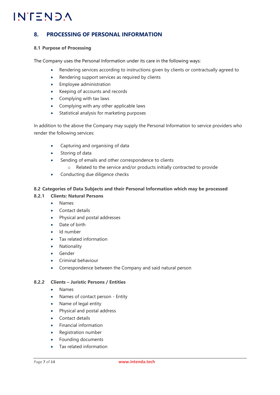# <span id="page-6-0"></span>**8. PROCESSING OF PERSONAL INFORMATION**

#### **8.1 Purpose of Processing**

The Company uses the Personal Information under its care in the following ways:

- Rendering services according to instructions given by clients or contractually agreed to
- Rendering support services as required by clients
- Employee administration
- Keeping of accounts and records
- Complying with tax laws
- Complying with any other applicable laws
- Statistical analysis for marketing purposes

In addition to the above the Company may supply the Personal Information to service providers who render the following services:

- Capturing and organising of data
- Storing of data
- Sending of emails and other correspondence to clients
	- o Related to the service and/or products initially contracted to provide
- Conducting due diligence checks

### **8.2 Categories of Data Subjects and their Personal Information which may be processed**

#### **8.2.1 Clients: Natural Persons**

- Names
- Contact details
- Physical and postal addresses
- Date of birth
- Id number
- Tax related information
- **Nationality**
- Gender
- Criminal behaviour
- Correspondence between the Company and said natural person

#### **8.2.2 Clients – Juristic Persons / Entities**

- Names
- Names of contact person Entity
- Name of legal entity
- Physical and postal address
- Contact details
- Financial information
- Registration number
- Founding documents
- Tax related information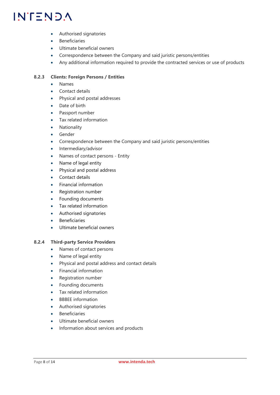- Authorised signatories
- **Beneficiaries**
- Ultimate beneficial owners
- Correspondence between the Company and said juristic persons/entities
- Any additional information required to provide the contracted services or use of products

### **8.2.3 Clients: Foreign Persons / Entities**

- Names
- Contact details
- Physical and postal addresses
- Date of birth
- Passport number
- Tax related information
- Nationality
- **Gender**
- Correspondence between the Company and said juristic persons/entities
- Intermediary/advisor
- Names of contact persons Entity
- Name of legal entity
- Physical and postal address
- Contact details
- Financial information
- Registration number
- Founding documents
- Tax related information
- Authorised signatories
- Beneficiaries
- Ultimate beneficial owners

### **8.2.4 Third-party Service Providers**

- Names of contact persons
- Name of legal entity
- Physical and postal address and contact details
- Financial information
- Registration number
- Founding documents
- Tax related information
- BBBEE information
- Authorised signatories
- **Beneficiaries**
- Ultimate beneficial owners
- Information about services and products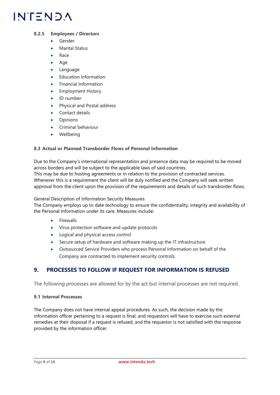### **8.2.5 Employees / Directors**

- Gender
- Marital Status
- Race
- Age
- **Language**
- Education information
- Financial Information
- Employment History
- ID number
- Physical and Postal address
- Contact details
- **Opinions**
- Criminal behaviour
- Wellbeing

### **8.3 Actual or Planned Transborder Flows of Personal Information**

Due to the Company's international representation and presence data may be required to be moved across borders and will be subject to the applicable laws of said countries.

This may be due to hosting agreements or in relation to the provision of contracted services. Whenever this is a requirement the client will be duly notified and the Company will seek written approval from the client upon the provision of the requirements and details of such transborder flows.

#### General Description of Information Security Measures

The Company employs up to date technology to ensure the confidentiality, integrity and availability of the Personal Information under its care. Measures include:

- **Firewalls**
- Virus protection software and update protocols
- Logical and physical access control
- Secure setup of hardware and software making up the IT infrastructure
- Outsourced Service Providers who process Personal Information on behalf of the Company are contracted to implement security controls.

# <span id="page-8-0"></span>**9. PROCESSES TO FOLLOW IF REQUEST FOR INFORMATION IS REFUSED**

The following processes are allowed for by the act but internal processes are not required.

#### **9.1 Internal Processes**

The Company does not have internal appeal procedures. As such, the decision made by the information officer pertaining to a request is final, and requestors will have to exercise such external remedies at their disposal if a request is refused, and the requestor is not satisfied with the response provided by the information officer.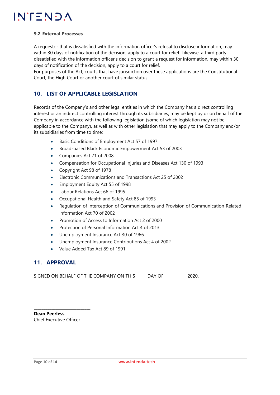#### **9.2 External Processes**

A requestor that is dissatisfied with the information officer's refusal to disclose information, may within 30 days of notification of the decision, apply to a court for relief. Likewise, a third party dissatisfied with the information officer's decision to grant a request for information, may within 30 days of notification of the decision, apply to a court for relief.

For purposes of the Act, courts that have jurisdiction over these applications are the Constitutional Court, the High Court or another court of similar status.

# <span id="page-9-0"></span>**10. LIST OF APPLICABLE LEGISLATION**

Records of the Company's and other legal entities in which the Company has a direct controlling interest or an indirect controlling interest through its subsidiaries, may be kept by or on behalf of the Company in accordance with the following legislation (some of which legislation may not be applicable to the Company), as well as with other legislation that may apply to the Company and/or its subsidiaries from time to time:

- Basic Conditions of Employment Act 57 of 1997
- Broad-based Black Economic Empowerment Act 53 of 2003
- Companies Act 71 of 2008
- Compensation for Occupational Injuries and Diseases Act 130 of 1993
- Copyright Act 98 of 1978
- Electronic Communications and Transactions Act 25 of 2002
- Employment Equity Act 55 of 1998
- Labour Relations Act 66 of 1995
- Occupational Health and Safety Act 85 of 1993
- Regulation of Interception of Communications and Provision of Communication Related Information Act 70 of 2002
- Promotion of Access to Information Act 2 of 2000
- Protection of Personal Information Act 4 of 2013
- Unemployment Insurance Act 30 of 1966
- Unemployment Insurance Contributions Act 4 of 2002
- Value Added Tax Act 89 of 1991

### <span id="page-9-1"></span>**11. APPROVAL**

SIGNED ON BEHALF OF THE COMPANY ON THIS \_\_\_\_\_ DAY OF \_\_\_\_\_\_\_\_\_\_\_ 2020.

**Dean Peerless** Chief Executive Officer

\_\_\_\_\_\_\_\_\_\_\_\_\_\_\_\_\_\_\_\_\_\_\_\_\_\_\_\_\_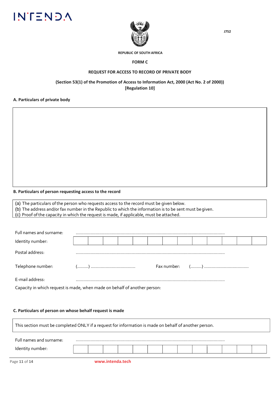



#### **REPUBLIC OF SOUTH AFRICA**

#### **FORM C**

#### **REQUEST FOR ACCESS TO RECORD OF PRIVATE BODY**

#### **(Section 53(1) of the Promotion of Access to Information Act, 2000 (Act No. 2 of 2000)) [Regulation 10]**

#### **A. Particulars of private body**

#### **B. Particulars of person requesting access to the record**

(a) The particulars of the person who requests access to the record must be given below.

(b) The address and/or fax number in the Republic to which the information is to be sent must begiven.

(c) Proof of the capacity in which the request is made, if applicable, must be attached.

| Full names and surname: |  |  |  |  |  |  |  |  |  |  |  |
|-------------------------|--|--|--|--|--|--|--|--|--|--|--|
| Identity number:        |  |  |  |  |  |  |  |  |  |  |  |
| Postal address:         |  |  |  |  |  |  |  |  |  |  |  |
| Telephone number:       |  |  |  |  |  |  |  |  |  |  |  |
| E-mail address:         |  |  |  |  |  |  |  |  |  |  |  |

Capacity in which request is made, when made on behalf of another person:

#### **C. Particulars of person on whose behalf request is made**

| This section must be completed ONLY if a request for information is made on behalf of another person. |                  |  |  |  |  |  |
|-------------------------------------------------------------------------------------------------------|------------------|--|--|--|--|--|
| Full names and surname:                                                                               |                  |  |  |  |  |  |
| Identity number:                                                                                      |                  |  |  |  |  |  |
| Page 11 of 14                                                                                         | www.intenda.tech |  |  |  |  |  |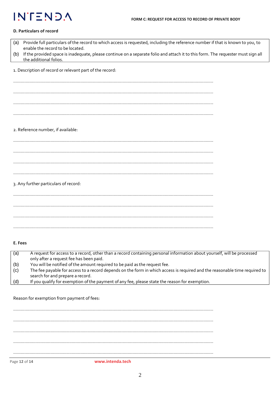#### **D. Particulars of record**

| (a) | Provide full particulars of the record to which access is requested, including the reference number if that is known to you, to<br>enable the record to be located. |
|-----|---------------------------------------------------------------------------------------------------------------------------------------------------------------------|
| (b) | If the provided space is inadequate, please continue on a separate folio and attach it to this form. The requester must sign all<br>the additional folios.          |
|     | 1. Description of record or relevant part of the record:                                                                                                            |
|     |                                                                                                                                                                     |
|     |                                                                                                                                                                     |
|     |                                                                                                                                                                     |
|     |                                                                                                                                                                     |
|     | 2. Reference number, if available:                                                                                                                                  |
|     |                                                                                                                                                                     |
|     |                                                                                                                                                                     |
|     |                                                                                                                                                                     |
|     |                                                                                                                                                                     |
|     | 3. Any further particulars of record:                                                                                                                               |
|     |                                                                                                                                                                     |
|     |                                                                                                                                                                     |
|     |                                                                                                                                                                     |
|     |                                                                                                                                                                     |

#### **E. Fees**

| (a) | A request for access to a record, other than a record containing personal information about yourself, will be processed    |
|-----|----------------------------------------------------------------------------------------------------------------------------|
|     | only after a request fee has been paid.                                                                                    |
| (b) | You will be notified of the amount required to be paid as the request fee.                                                 |
| (c) | The fee payable for access to a record depends on the form in which access is required and the reasonable time required to |
|     | search for and prepare a record.                                                                                           |
| (d) | If you qualify for exemption of the payment of any fee, please state the reason for exemption.                             |

Reason for exemption from payment of fees:

…………………………………………………………………………………………………………………………………………….. …………………………………………………………………………………………………………………………………………….. …………………………………………………………………………………………………………………………………………….. …………………………………………………………………………………………………………………………………………….. ……………………………………………………………………………………………………………………………………………..

Page **12** of **14 [www.intenda.tech](http://www.intenda.tech/)**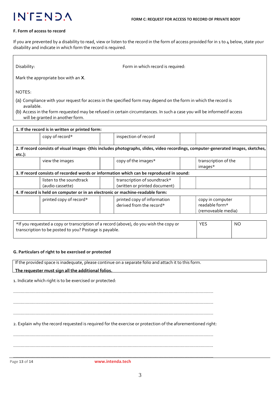

#### **F. Form of access to record**

If you are prevented by a disability to read, view or listen to the record in the form of access provided for in 1 to 4 below, state your disability and indicate in which form the record is required.

Disability: Disability:  $\blacksquare$ 

Mark the appropriate box with an **X**.

NOTES:

- (a) Compliance with your request for access in the specified form may depend on the form in which the record is available.
- (b) Access in the form requested may be refused in certain circumstances. In such a case you will be informedif access will be granted in another form. (c) The fee payable for access to the record, if any, will be determined partly by theform in which access is requested.

|           | 1. If the record is in written or printed form:                                |                                                                                          |                                                                                                                                    |
|-----------|--------------------------------------------------------------------------------|------------------------------------------------------------------------------------------|------------------------------------------------------------------------------------------------------------------------------------|
|           | copy of record*                                                                | inspection of record                                                                     |                                                                                                                                    |
|           |                                                                                |                                                                                          | 2. If record consists of visual images -(this includes photographs, slides, video recordings, computer-generated images, sketches, |
|           |                                                                                |                                                                                          |                                                                                                                                    |
| $etc.$ ): |                                                                                |                                                                                          |                                                                                                                                    |
|           | view the images                                                                | copy of the images*                                                                      | transcription of the<br>images*                                                                                                    |
|           |                                                                                | 3. If record consists of recorded words or information which can be reproduced in sound: |                                                                                                                                    |
|           | listen to the soundtrack                                                       | transcription of soundtrack*                                                             |                                                                                                                                    |
|           | (audio cassette)                                                               | (written or printed document)                                                            |                                                                                                                                    |
|           | 4. If record is held on computer or in an electronic or machine-readable form: |                                                                                          |                                                                                                                                    |
|           | printed copy of record*                                                        | printed copy of information                                                              | copy in computer                                                                                                                   |
|           |                                                                                | derived from the record*                                                                 | readable form*                                                                                                                     |
|           |                                                                                |                                                                                          | (removeable media)                                                                                                                 |

| *If you requested a copy or transcription of a record (above), do you wish the copy or | <b>YES</b> | NO |
|----------------------------------------------------------------------------------------|------------|----|
| transcription to be posted to you? Postage is payable.                                 |            |    |
|                                                                                        |            |    |

#### **G. Particulars of right to be exercised or protected**

If the provided space is inadequate, please continue on a separate folio and attach it to this form.

**The requester must sign all the additional folios.**

1. Indicate which right is to be exercised or protected:

……………………………………………………………………………………………………………………………………………..

……………………………………………………………………………………………………………………………………………..

……………………………………………………………………………………………………………………………………………..

2. Explain why the record requested is required for the exercise or protection of the aforementioned right:

……………………………………………………………………………………………………………………………………………..

……………………………………………………………………………………………………………………………………………..

Page **13** of **14 www.intenda.tech** ………………………………………………………[……………………………](http://www.intenda.tech/)………………………………………………………..